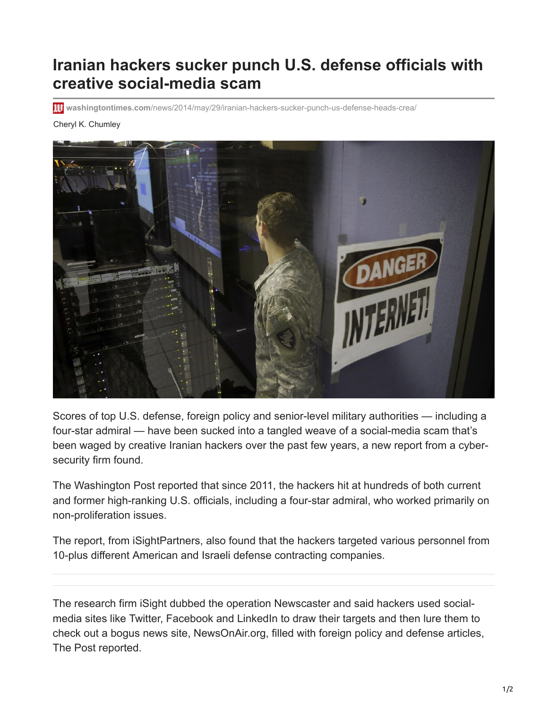## **Iranian hackers sucker punch U.S. defense officials with creative social-media scam**

**washingtontimes.com**[/news/2014/may/29/iranian-hackers-sucker-punch-us-defense-heads-crea/](https://www.washingtontimes.com/news/2014/may/29/iranian-hackers-sucker-punch-us-defense-heads-crea/)

## Cheryl K. Chumley



Scores of top U.S. defense, foreign policy and senior-level military authorities — including a four-star admiral — have been sucked into a tangled weave of a social-media scam that's been waged by creative Iranian hackers over the past few years, a new report from a cybersecurity firm found.

The Washington Post reported that since 2011, the hackers hit at hundreds of both current and former high-ranking U.S. officials, including a four-star admiral, who worked primarily on non-proliferation issues.

The report, from iSightPartners, also found that the hackers targeted various personnel from 10-plus different American and Israeli defense contracting companies.

The research firm iSight dubbed the operation Newscaster and said hackers used socialmedia sites like Twitter, Facebook and LinkedIn to draw their targets and then lure them to check out a bogus news site, NewsOnAir.org, filled with foreign policy and defense articles, The Post reported.